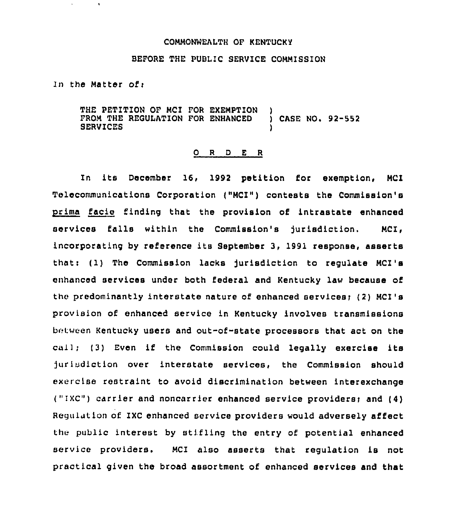### COMMONWEALTH OF KENTUCKY

## BEFORE THE PUBLIC SERVICE COMMISSION

In the Matter of:

 $\bullet$ 

THE PETITION OF MCI FOR EXEMPTION FROM THE REGULATION FOR ENHANCED ) CASE NO. 92-552 **SERVICES** 

#### O R D E R

In its December 16, 1992 petition for exemption, MCI Telecommunications Corporation {"MCI") contests the Commission's prima facie finding that the provision of intrastate enhanced services falls within the Commission's jurisdiction. MCI, incorporating by reference its September 3, 1991 response, asserts thatt (1) The Commission lacks Jurisdiction to regulate MCI's enhanced services under both federal and Kentucky law because of the predominantly interstate nature of enhanced services) {2) MCI's provision of enhanced service in Kentucky involves transmissions between Kentucky users and out-of-state processors that act on the call; (3) Even if the Commission could legally exercise its jurisdiction over interstate services, the Commission should exercise restraint to avoid discrimination between interexchange ("IXC") carrier and noncarrier enhanced service providers; and (4) Regulution of IXC enhanced service providers would adversely affect the public interest by stifling the entry of potential enhanced service providers. MCI also asserts that regulation is not practical given the broad assortment of enhanced services and that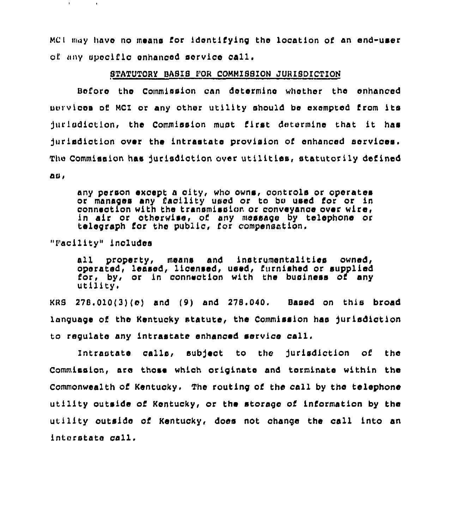MCI may have no means for identifying the location of an end-user of any upocific enhanced service call.

# STATUTORY BASIS FOR COMMISSION JURISDICTION

Before tha Commission can determine whether the enhanced uvrv)cas of MCI or any Other utility should be exempted from ita jurisdiction, the Commission must first determine that it has Jurisdiction over the intrastate provision of enhanced sorvioea. Thu Commission has Jurisdiction over utilities, statutorily defined ac,

any person except a city, who owns, controls or operates or manages any facility used or to bc used for or in connection with the transmission or conveyance over wire in sir or otherwise, of any message by telephone or telegraph for the public, for compensation,

"Facility" includes

all property, means and instrumentalities owned, operated, leased, licensed, used, furnished or supplied for, by, or in connection with the business of any  $u$ tility.

 $KRS$  278.010(3)(e) and (9) and 278.040. Based on this broad language of the Kentucky statute, the Commission has jurisdiction to regulate any intrastate enhanced service call,

Intrastate calls, subject to the jurisdiction of the Commission, are those which originate and terminate within the Commonwealth of Kentucky. The routing of the coll by tha telephone utility outside of Kentucky, or the storage of information by the utility outside of Kentucky, does not change the call into an interstate call.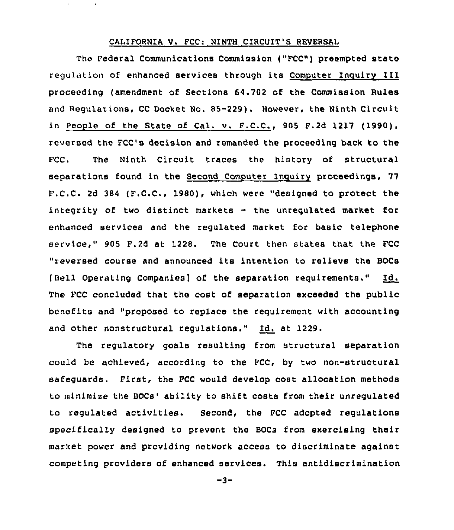## CALIFORNIA V. FCC: NINTH CIRCUIT'S REVERSAL

The Federal Communications Commission ("FCC") preempted state regulation of enhanced services through its Computer Inguiry III proceeding (amendment of Sections 64.702 of the Commission Rules and Regulations, CC Docket No. 85-229). However, the Ninth Circuit in People of the State of Cal. v. F.C.C., 905 F.2d 1217 (1990), reversed the PCC's decision and remanded the proceeding back to the FCC. The Ninth Circuit traces the history of structural separations found in the Second Computer Inguiry proceedings, 77 F.C.C. 2d 384 (F.C.C., 1980), which were "designed to protect the integrity of two distinct markets - the unregulated mark<mark>et f</mark>or enhanced services and the regulated market for basic telephone service," 905 F.2d at 1228. The Court then states that the FCC "reversed course and announced its intention to relieve the BOCs [Bell Operating Companies] of the separation reguirements." Id. The FCC concluded that the cost of separation exceeded the public benefits and "proposed to replace the requirement with accounting and other nonstructural regulations." Id. at 1229.

The regulatory goals resulting from structural separation could be achieved, according to the PCC, by two non-structural safeguards. First, the FCC would develop cost allocation methods to minimize the BOCs'bility to shift costs from their unregulated to regulated activities. Second, the FCC adopted regulations specifically designed to prevent the BOCs from exercising their market power and providing network access to discriminate against competing providers of enhanced services. This antidlscrimination

 $-3-$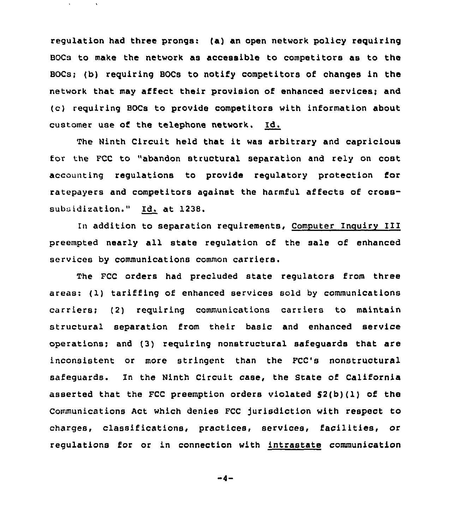regulation had three prongs: (a) an open network policy requiring BOCs to make the network as accessible to competitors as to the BOCs; (b) requiring BOCs to notify competitors of changes in the network that may affect their provision of enhanced services; and (c) requiring BOCs to provide competitors with information about customer use of the telephone network. Id.

The Ninth Circuit held that it was arbitrary and capricious for the FCC to "abandon structural separation and rely on cost accounting regulations to provide regulatory protection for ratepayers and competitors against the harmful affects of crosssubsidization." Id. at 1238.

In addition to separation requirements, Computer Inquiry III preempted nearly all state regulation of the sale of enhanced services by communications common carriers.

The FCC orders had precluded state regulators from three areas: (1) tariffing of enhanced services sold by communications carriers; (2) requiring communications carriers to maintain structural separation from their basic and enhanced service operations; and (3) requiring nonstructural safeguards that are inconsistent or more stringent than the FCC's nonstructural safeguards. In the Ninth Circuit case, the State of California asserted that the FCC preemption orders violated  $S2(b)(1)$  of the Communications Act which denies FCC Jurisdiction with respect to charges, classifications, practices, services, facilities, or regulations for or in connection with intrastate communication

 $-4-$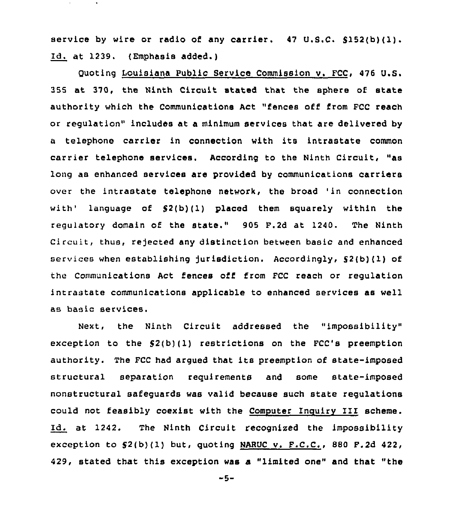service by wire or radio of any carrier. <sup>47</sup> U.S.C. 5152(b)(1). Id. at 1239. (Emphasis added.)

Quoting Louisiana Public Service Commission v. FCC, 476 U.S. 355 at 370, the Ninth Circuit stated that the sphere of state authority which the Communications Act "fences off from FCC reach or regulation" includes at a minimum services that are delivered by <sup>a</sup> telephone carrier in connection with its intrastate common carrier telephone services. According to the Ninth Circuit, "as long as enhanced services are provided by communications carriers over the intrastate telephone network, the broad 'in connection with' language of  $$2(b)(1)$  placed them squarely within the regulatory domain of the state." 905 F.2d at 1240. The Ninth Circuit, thus, rejected any distinction between basic and enhanced services when establishing jurisdiction. Accordingly,  $S^2(b)(1)$  of the Communications Act fences off from FCC reach or regulation intrastate communications applicable to enhanced services as well as basic services.

Next, the Ninth Circuit addressed the "impossibility" exception to the  $$2(b)(1)$  restrictions on the FCC's preemption authority. The FCC had argued that its preemption of state-imposed structural separation requirements and some state-imposed nonstructural safeguards was valid because such state regulations could not feasibly coexist with the Computes inquiry III scheme. Id. at 1242. The Ninth Circuit recognised the impossibility exception to  $S^2(b)(1)$  but, quoting NARUC v. F.C.C., 880 F.2d 422, 429, stated that this exception was a "limited one" and that "the

 $-5-$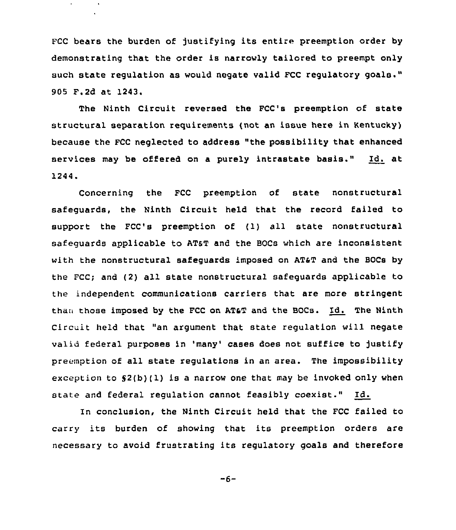FCC bears the burden of justifying its entire preemption order by demonstrating that the order is narrowly tailored to preempt only such state regulation as would negate valid FCC regulatory goals." 905 F.2d at 1243.

The Ninth Circuit reversed the FCC's preemption of state structural separation requirements (not an issue here in Kentucky) because the FCC neglected to address "the possibility that enhanced services may be offered on a purely intrastate basis." Id. at 1244.

Concerning the FCC preemption of state nonstructural safeguards, the Ninth Circuit held that the record failed to support the FCC's preemption of (1} all state nonstructural safequards applicable to AT&T and the BOCs which are inconsistent with the nonstructural safeguards imposed on AT&T and the BOCs by the FCC; and (2) all state nonstructural safeguards applicable to the independent communications carriers that are more stringent than those imposed by the FCC on AT&T and the BOCs. Id. The Ninth Circuit held that "an argument that state regulation will negate valid federal purposes in 'many' cases does not suffice to justify preemption of all state regulations in an area. The impossibility exception to  $S(2(b)(1)$  is a narrow one that may be invoked only when state and federal regulation cannot feasibly coexist." Id.

In conclusion, the Ninth Circuit held that the FCC failed to carry its burden of showing that its preemption orders are necessary to avoid frustrating its regulatory goals and therefore

 $-6-$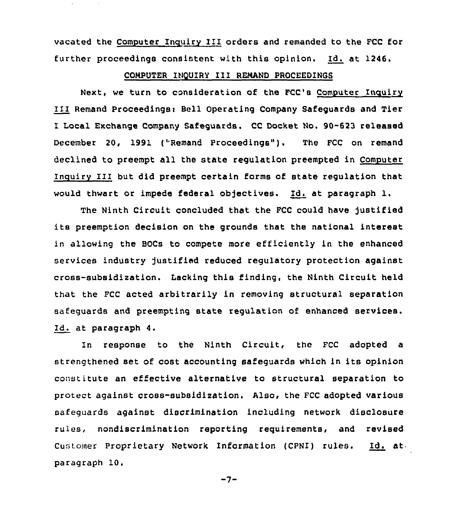vacated the Computer Inculry III orders and remanded to the FCC for further proceedings consistent with this opinion. Id. at 1246.

## CONPUTER INQUIRY III RENAND PROCEEDINGS

Next, we turn to consideration of the FCC's Computer Inguiry III Remand Proceedingsi Bell Operating Company Safeguards and Tier I Local Exchange Company Safeguards. CC Docket No. 90-623 released December 20, 1991 ("Remand Proceedings"). The FCC on remand declined to preempt all the state regulation preempted in Computer Inouiry 111 but did preempt certain forms of state regulation that would thwart or impede federal objectives. Id. at paragraph l.

The Ninth Circuit concluded that the FCC could have justified its preemption decision on the grounds that the national interest in allowing the BOCs to compete more efficiently in the enhanced services industry justified reduced regulatory protection against cross-subsidization. Lacking this finding, the Ninth Circuit held that the FCC acted arbitrarily in removing structural separation safeguards and preemptinq state regulation of enhanced services. Id. at paragraph 4.

In response to the Ninth Circuit, the FCC adopted a strengthened set of cost accounting safeguards which in its opinion constitute an effective alternative to structural separation to protect against cross-subsidization. Also, the FCC adopted various safeguards against discrimination including network disclosure rules, nondiscrimination reporting reguirements, and revised Customer Proprietary Network Information (CPNI) rules. Id. at paragraph 10.

 $-7-$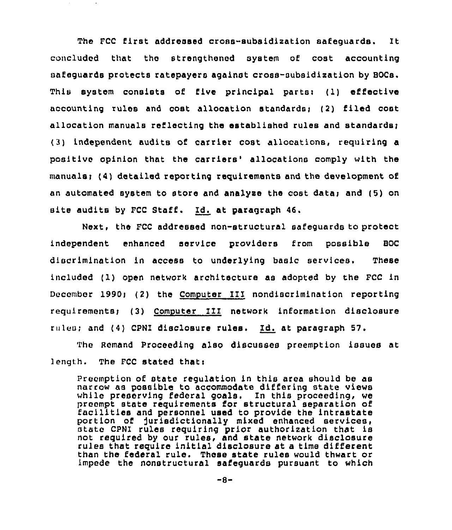The FCC first addressed cross-subsidization safequards. It concluded that the strengthened system of cost accounting safeguards protects ratepayers against cross-subsidization by BOCs. This system consists of five principal parts: (1) effective accounting rules and cost allocation standardsi (2) filed cost allocation manuals reflecting the established rules and standards; (3) independent audits of. carrier cost allocations, requiring a positive opinion that the carriers' allocations comply with the manuals; (4) detailed reporting requirements and the development of an automated system to store and analyze the cost data; and (5) on site audits by FCC Staff, Id. at paragraph 46,

Next, the FCC addressed non-structural safeguards to protect independent enhanced service providers from possible BOC discrimination in access to underlying basic services. These included (1) open network architecture as adopted by the FCC in December 1990; (2) the Computer III nondiscrimination reporting requirements; (3) Computer III network information disclosure rules; and (4) CPNI disclosure rules. Id. at paragraph 57.

The Remand proceeding also discusses preemption issues at length. The FCC stated that:

Preemption of state regulation in this area should be as narrow as possible to accommodate differing state views while preserving federal goals. In this proceeding, we preempt state requirements for structural separation of facilities and personnel used to provide the intrastate portion of jurisdictionally mixed enhanced services,<br>state CPNI rules requiring prior authorization that is not required by our rules, and state network disclosure rules that require initial disclosure at a time different than the federal rule. These state rules would thwart or impede the nonstructural safeguards pursuant to which

-8-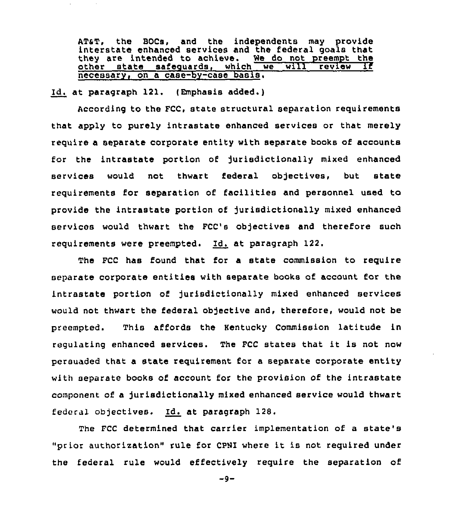AT&T, the BOCs, and the independents may provide<br>interstate enhanced services and the federal goals that<br>they are intended to achieve. We do not preempt the they are intended to achieve. We do not preempt the<br>other state safequards, which we will review if  $saf$ equards, which we necessary, on a case-by-case basis.

Id. at paragraph 121. (Emphasis added.)

According to the FCC, state structural separation requirements that apply to purely intrastate enhanced services or that merely require a separate corporate entity with separate books of accounts for the intrastate portion of jurisdictionally mixed enhanced services would not thwart federal objectives, but state requirements for separation of facilities and personnel used to provide the intrastate portion of jurisdictionally mixed enhanced services would thwart the FCC's objectives and therefore such requirements were preempted. Id. at paragraph 122.

The FCC has found that for a state commission to require separate corporate entities with separate books of account for the intrastate portion of jurisdictionally mixed enhanced services would not thwart the federal objective and, therefore, would not be preempted. This affords the Hentucky Commission latitude in regulating enhanced services. The FCC states that it is not now persuaded that a state requirement for a separate corporate entity with separate books of account for the provision of the intrastate component of a jurisdictionally mixed enhanced service would thwart federal objectives. Id. at paragraph 128.

The FCC determined that carrier implementation of a state's "prior authorization" rule for CPNI where it is not required under the federal rule would effectively require the separation of

 $-9-$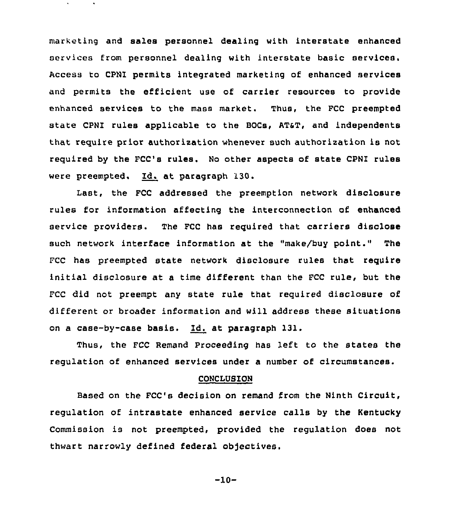marketing and sales personnel dealing with interstate enhanced services from personnel dealing with interstate basic services, Access to CPNI permits integrated marketing of enhanced services and permits the efficient use of carrier resources to provide enhanced services to the mass market. Thus, the FCC preempted state CPNI rules applicable to the BOCs, AT&T, and independents that require prior authorization whenever such authorization is not required by the FCC's rules. No other aspects of state CPNI rules were preempted. Id. at paragraph 130.

Last, the FCC addressed the preemption network disclosure rules for information affecting the interconnection of enhanced service providers. The FCC has required that carriers disclose such network interface information at the "make/buy point." The FCC has preempted state network disclosure rules that require initial disclosure at <sup>a</sup> time different than the FCC rule, but the FCC did not preempt any state rule that required disclosure of different or broader information and will address these situations on a case-by-ease basis. Id. at paragraph 131.

Thus, the FCC Remand Proceeding has left to the states the regulation of enhanced services under a number of circumstances.

### CONCLUSION

Based on the FCC's decision on remand from the Ninth Circuit, regulation of intrastate enhanced service calls by the Kentucky Commission is not preempted, provided the regulation does not thwart narrowly defined federal objectives.

-10-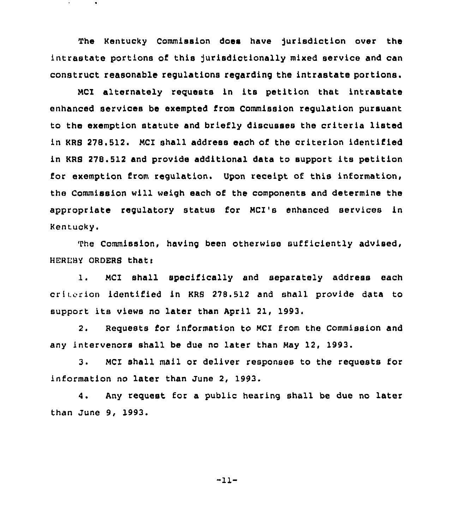The Kentucky Commission does have jurisdiction over the intrastate portions of this jurisdictionally mixed service and can construct reasonable regulations regarding the intrastate portions.

MCI alternately requests in its petition that intrastate enhanced services be exempted from Commission regulation pursuant to the exemption statute and briefly discusses the criteria listed in KRS 278.512. MCI shall address each of the criterion identified in KRS 278.512 and provide additional data to support its petition for exemption from regulation. Upon receipt of this information, the Commission will weigh each of the components and determine the appropriate regulatory status for MCI's enhanced services in Kentucky.

The Commission, having been otherwise sufficiently advised, HEREBY ORDERS thati

1. MCI shall specifically and separately address each criterion identified in KRB 278.512 and shall provide data to support its views no later than April 21, 1993.

2. Requests for information to MC1 from the Commission and any intervenors shall be due no later than May 12, 1993.

3. MCI shall mail or deliver responses to the requests for information no later than June 2, 1993.

4. Any request for a public hearing shall be due no later than June 9, 1993.

"11-